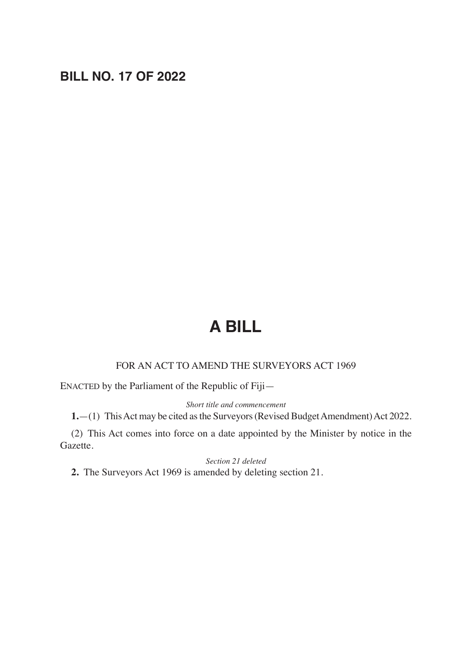# **BILL NO. 17 OF 2022**

# **A BILL**

### FOR AN ACT TO AMEND THE SURVEYORS ACT 1969

ENACTED by the Parliament of the Republic of Fiji—

#### *Short title and commencement*

**1.**—(1) This Act may be cited as the Surveyors (Revised Budget Amendment) Act 2022.

(2) This Act comes into force on a date appointed by the Minister by notice in the Gazette.

#### *Section 21 deleted*

**2.** The Surveyors Act 1969 is amended by deleting section 21.